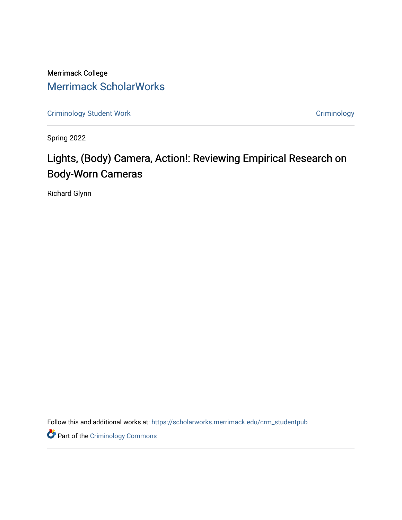Merrimack College [Merrimack ScholarWorks](https://scholarworks.merrimack.edu/) 

[Criminology Student Work](https://scholarworks.merrimack.edu/crm_studentpub) **Criminology** Criminology

Spring 2022

# Lights, (Body) Camera, Action!: Reviewing Empirical Research on Body-Worn Cameras

Richard Glynn

Follow this and additional works at: [https://scholarworks.merrimack.edu/crm\\_studentpub](https://scholarworks.merrimack.edu/crm_studentpub?utm_source=scholarworks.merrimack.edu%2Fcrm_studentpub%2F46&utm_medium=PDF&utm_campaign=PDFCoverPages) 

**Part of the Criminology Commons**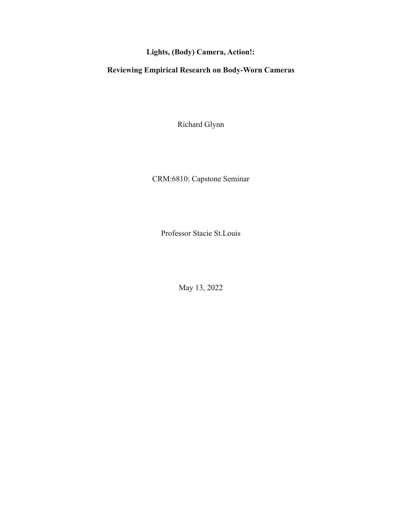## **Lights, (Body) Camera, Action!:**

### **Reviewing Empirical Research on Body-Worn Cameras**

Richard Glynn

CRM:6810: Capstone Seminar

Professor Stacie St.Louis

May 13, 2022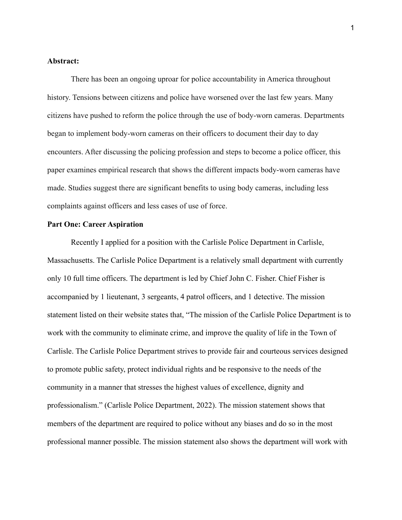#### **Abstract:**

There has been an ongoing uproar for police accountability in America throughout history. Tensions between citizens and police have worsened over the last few years. Many citizens have pushed to reform the police through the use of body-worn cameras. Departments began to implement body-worn cameras on their officers to document their day to day encounters. After discussing the policing profession and steps to become a police officer, this paper examines empirical research that shows the different impacts body-worn cameras have made. Studies suggest there are significant benefits to using body cameras, including less complaints against officers and less cases of use of force.

#### **Part One: Career Aspiration**

Recently I applied for a position with the Carlisle Police Department in Carlisle, Massachusetts. The Carlisle Police Department is a relatively small department with currently only 10 full time officers. The department is led by Chief John C. Fisher. Chief Fisher is accompanied by 1 lieutenant, 3 sergeants, 4 patrol officers, and 1 detective. The mission statement listed on their website states that, "The mission of the Carlisle Police Department is to work with the community to eliminate crime, and improve the quality of life in the Town of Carlisle. The Carlisle Police Department strives to provide fair and courteous services designed to promote public safety, protect individual rights and be responsive to the needs of the community in a manner that stresses the highest values of excellence, dignity and professionalism." (Carlisle Police Department, 2022). The mission statement shows that members of the department are required to police without any biases and do so in the most professional manner possible. The mission statement also shows the department will work with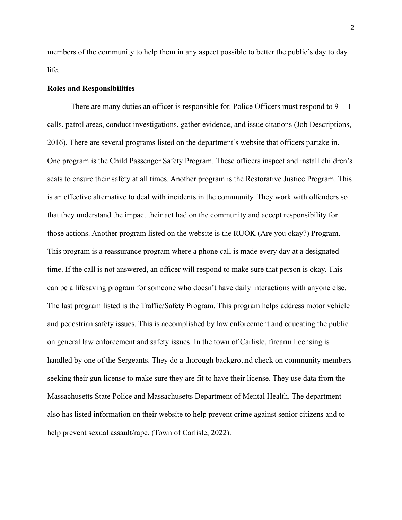members of the community to help them in any aspect possible to better the public's day to day life.

#### **Roles and Responsibilities**

There are many duties an officer is responsible for. Police Officers must respond to 9-1-1 calls, patrol areas, conduct investigations, gather evidence, and issue citations (Job Descriptions, 2016). There are several programs listed on the department's website that officers partake in. One program is the Child Passenger Safety Program. These officers inspect and install children's seats to ensure their safety at all times. Another program is the Restorative Justice Program. This is an effective alternative to deal with incidents in the community. They work with offenders so that they understand the impact their act had on the community and accept responsibility for those actions. Another program listed on the website is the RUOK (Are you okay?) Program. This program is a reassurance program where a phone call is made every day at a designated time. If the call is not answered, an officer will respond to make sure that person is okay. This can be a lifesaving program for someone who doesn't have daily interactions with anyone else. The last program listed is the Traffic/Safety Program. This program helps address motor vehicle and pedestrian safety issues. This is accomplished by law enforcement and educating the public on general law enforcement and safety issues. In the town of Carlisle, firearm licensing is handled by one of the Sergeants. They do a thorough background check on community members seeking their gun license to make sure they are fit to have their license. They use data from the Massachusetts State Police and Massachusetts Department of Mental Health. The department also has listed information on their website to help prevent crime against senior citizens and to help prevent sexual assault/rape. (Town of Carlisle, 2022).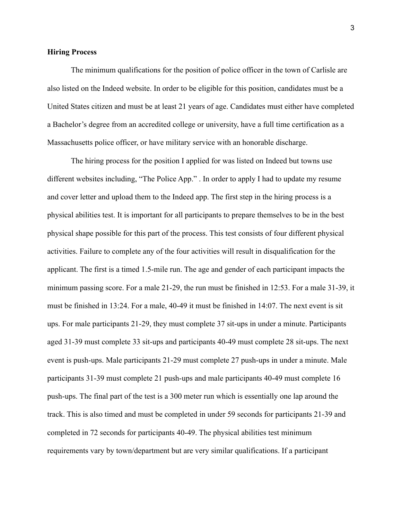#### **Hiring Process**

The minimum qualifications for the position of police officer in the town of Carlisle are also listed on the Indeed website. In order to be eligible for this position, candidates must be a United States citizen and must be at least 21 years of age. Candidates must either have completed a Bachelor's degree from an accredited college or university, have a full time certification as a Massachusetts police officer, or have military service with an honorable discharge.

The hiring process for the position I applied for was listed on Indeed but towns use different websites including, "The Police App." . In order to apply I had to update my resume and cover letter and upload them to the Indeed app. The first step in the hiring process is a physical abilities test. It is important for all participants to prepare themselves to be in the best physical shape possible for this part of the process. This test consists of four different physical activities. Failure to complete any of the four activities will result in disqualification for the applicant. The first is a timed 1.5-mile run. The age and gender of each participant impacts the minimum passing score. For a male 21-29, the run must be finished in 12:53. For a male 31-39, it must be finished in 13:24. For a male, 40-49 it must be finished in 14:07. The next event is sit ups. For male participants 21-29, they must complete 37 sit-ups in under a minute. Participants aged 31-39 must complete 33 sit-ups and participants 40-49 must complete 28 sit-ups. The next event is push-ups. Male participants 21-29 must complete 27 push-ups in under a minute. Male participants 31-39 must complete 21 push-ups and male participants 40-49 must complete 16 push-ups. The final part of the test is a 300 meter run which is essentially one lap around the track. This is also timed and must be completed in under 59 seconds for participants 21-39 and completed in 72 seconds for participants 40-49. The physical abilities test minimum requirements vary by town/department but are very similar qualifications. If a participant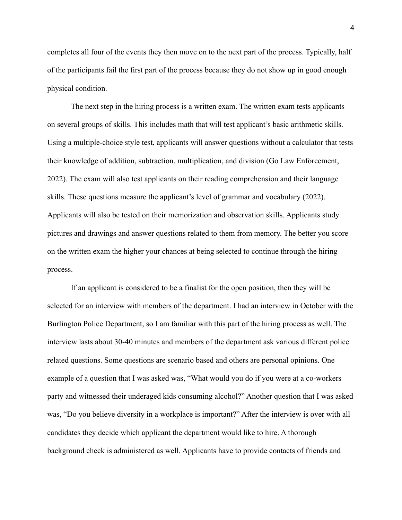completes all four of the events they then move on to the next part of the process. Typically, half of the participants fail the first part of the process because they do not show up in good enough physical condition.

The next step in the hiring process is a written exam. The written exam tests applicants on several groups of skills. This includes math that will test applicant's basic arithmetic skills. Using a multiple-choice style test, applicants will answer questions without a calculator that tests their knowledge of addition, subtraction, multiplication, and division (Go Law Enforcement, 2022). The exam will also test applicants on their reading comprehension and their language skills. These questions measure the applicant's level of grammar and vocabulary (2022). Applicants will also be tested on their memorization and observation skills. Applicants study pictures and drawings and answer questions related to them from memory. The better you score on the written exam the higher your chances at being selected to continue through the hiring process.

If an applicant is considered to be a finalist for the open position, then they will be selected for an interview with members of the department. I had an interview in October with the Burlington Police Department, so I am familiar with this part of the hiring process as well. The interview lasts about 30-40 minutes and members of the department ask various different police related questions. Some questions are scenario based and others are personal opinions. One example of a question that I was asked was, "What would you do if you were at a co-workers party and witnessed their underaged kids consuming alcohol?" Another question that I was asked was, "Do you believe diversity in a workplace is important?" After the interview is over with all candidates they decide which applicant the department would like to hire. A thorough background check is administered as well. Applicants have to provide contacts of friends and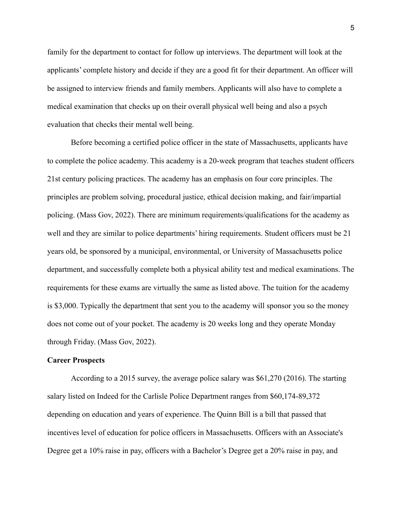family for the department to contact for follow up interviews. The department will look at the applicants' complete history and decide if they are a good fit for their department. An officer will be assigned to interview friends and family members. Applicants will also have to complete a medical examination that checks up on their overall physical well being and also a psych evaluation that checks their mental well being.

Before becoming a certified police officer in the state of Massachusetts, applicants have to complete the police academy. This academy is a 20-week program that teaches student officers 21st century policing practices. The academy has an emphasis on four core principles. The principles are problem solving, procedural justice, ethical decision making, and fair/impartial policing. (Mass Gov, 2022). There are minimum requirements/qualifications for the academy as well and they are similar to police departments' hiring requirements. Student officers must be 21 years old, be sponsored by a municipal, environmental, or University of Massachusetts police department, and successfully complete both a physical ability test and medical examinations. The requirements for these exams are virtually the same as listed above. The tuition for the academy is \$3,000. Typically the department that sent you to the academy will sponsor you so the money does not come out of your pocket. The academy is 20 weeks long and they operate Monday through Friday. (Mass Gov, 2022).

#### **Career Prospects**

According to a 2015 survey, the average police salary was \$61,270 (2016). The starting salary listed on Indeed for the Carlisle Police Department ranges from \$60,174-89,372 depending on education and years of experience. The Quinn Bill is a bill that passed that incentives level of education for police officers in Massachusetts. Officers with an Associate's Degree get a 10% raise in pay, officers with a Bachelor's Degree get a 20% raise in pay, and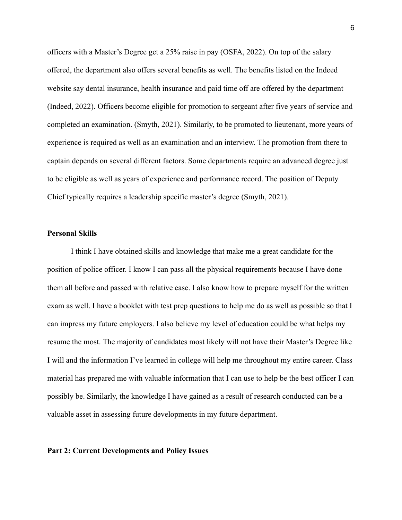officers with a Master's Degree get a 25% raise in pay (OSFA, 2022). On top of the salary offered, the department also offers several benefits as well. The benefits listed on the Indeed website say dental insurance, health insurance and paid time off are offered by the department (Indeed, 2022). Officers become eligible for promotion to sergeant after five years of service and completed an examination. (Smyth, 2021). Similarly, to be promoted to lieutenant, more years of experience is required as well as an examination and an interview. The promotion from there to captain depends on several different factors. Some departments require an advanced degree just to be eligible as well as years of experience and performance record. The position of Deputy Chief typically requires a leadership specific master's degree (Smyth, 2021).

#### **Personal Skills**

I think I have obtained skills and knowledge that make me a great candidate for the position of police officer. I know I can pass all the physical requirements because I have done them all before and passed with relative ease. I also know how to prepare myself for the written exam as well. I have a booklet with test prep questions to help me do as well as possible so that I can impress my future employers. I also believe my level of education could be what helps my resume the most. The majority of candidates most likely will not have their Master's Degree like I will and the information I've learned in college will help me throughout my entire career. Class material has prepared me with valuable information that I can use to help be the best officer I can possibly be. Similarly, the knowledge I have gained as a result of research conducted can be a valuable asset in assessing future developments in my future department.

#### **Part 2: Current Developments and Policy Issues**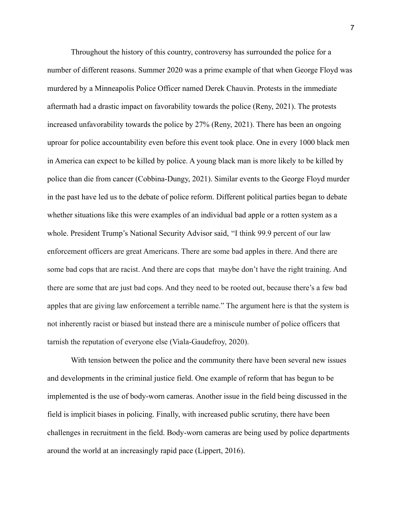Throughout the history of this country, controversy has surrounded the police for a number of different reasons. Summer 2020 was a prime example of that when George Floyd was murdered by a Minneapolis Police Officer named Derek Chauvin. Protests in the immediate aftermath had a drastic impact on favorability towards the police (Reny, 2021). The protests increased unfavorability towards the police by 27% (Reny, 2021). There has been an ongoing uproar for police accountability even before this event took place. One in every 1000 black men in America can expect to be killed by police. A young black man is more likely to be killed by police than die from cancer (Cobbina-Dungy, 2021). Similar events to the George Floyd murder in the past have led us to the debate of police reform. Different political parties began to debate whether situations like this were examples of an individual bad apple or a rotten system as a whole. President Trump's National Security Advisor said, "I think 99.9 percent of our law enforcement officers are great Americans. There are some bad apples in there. And there are some bad cops that are racist. And there are cops that maybe don't have the right training. And there are some that are just bad cops. And they need to be rooted out, because there's a few bad apples that are giving law enforcement a terrible name." The argument here is that the system is not inherently racist or biased but instead there are a miniscule number of police officers that tarnish the reputation of everyone else (Viala-Gaudefroy, 2020).

With tension between the police and the community there have been several new issues and developments in the criminal justice field. One example of reform that has begun to be implemented is the use of body-worn cameras. Another issue in the field being discussed in the field is implicit biases in policing. Finally, with increased public scrutiny, there have been challenges in recruitment in the field. Body-worn cameras are being used by police departments around the world at an increasingly rapid pace (Lippert, 2016).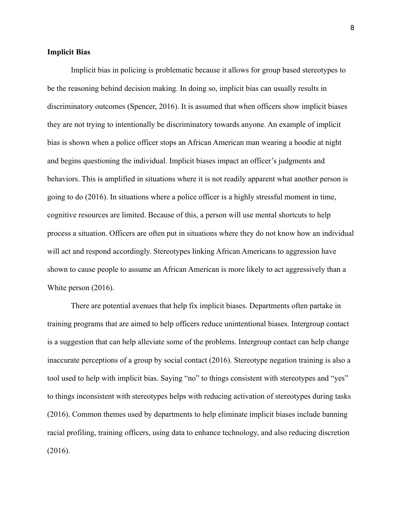#### **Implicit Bias**

Implicit bias in policing is problematic because it allows for group based stereotypes to be the reasoning behind decision making. In doing so, implicit bias can usually results in discriminatory outcomes (Spencer, 2016). It is assumed that when officers show implicit biases they are not trying to intentionally be discriminatory towards anyone. An example of implicit bias is shown when a police officer stops an African American man wearing a hoodie at night and begins questioning the individual. Implicit biases impact an officer's judgments and behaviors. This is amplified in situations where it is not readily apparent what another person is going to do (2016). In situations where a police officer is a highly stressful moment in time, cognitive resources are limited. Because of this, a person will use mental shortcuts to help process a situation. Officers are often put in situations where they do not know how an individual will act and respond accordingly. Stereotypes linking African Americans to aggression have shown to cause people to assume an African American is more likely to act aggressively than a White person (2016).

There are potential avenues that help fix implicit biases. Departments often partake in training programs that are aimed to help officers reduce unintentional biases. Intergroup contact is a suggestion that can help alleviate some of the problems. Intergroup contact can help change inaccurate perceptions of a group by social contact (2016). Stereotype negation training is also a tool used to help with implicit bias. Saying "no" to things consistent with stereotypes and "yes" to things inconsistent with stereotypes helps with reducing activation of stereotypes during tasks (2016). Common themes used by departments to help eliminate implicit biases include banning racial profiling, training officers, using data to enhance technology, and also reducing discretion (2016).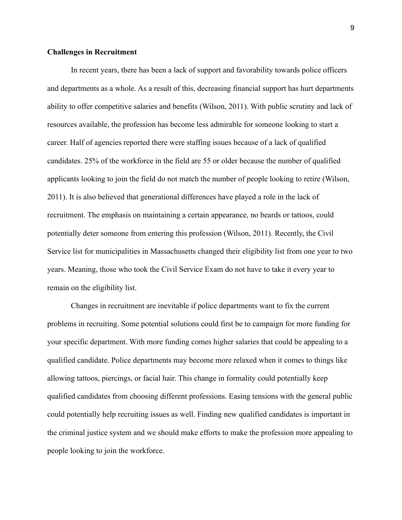#### **Challenges in Recruitment**

In recent years, there has been a lack of support and favorability towards police officers and departments as a whole. As a result of this, decreasing financial support has hurt departments ability to offer competitive salaries and benefits (Wilson, 2011). With public scrutiny and lack of resources available, the profession has become less admirable for someone looking to start a career. Half of agencies reported there were staffing issues because of a lack of qualified candidates. 25% of the workforce in the field are 55 or older because the number of qualified applicants looking to join the field do not match the number of people looking to retire (Wilson, 2011). It is also believed that generational differences have played a role in the lack of recruitment. The emphasis on maintaining a certain appearance, no beards or tattoos, could potentially deter someone from entering this profession (Wilson, 2011). Recently, the Civil Service list for municipalities in Massachusetts changed their eligibility list from one year to two years. Meaning, those who took the Civil Service Exam do not have to take it every year to remain on the eligibility list.

Changes in recruitment are inevitable if police departments want to fix the current problems in recruiting. Some potential solutions could first be to campaign for more funding for your specific department. With more funding comes higher salaries that could be appealing to a qualified candidate. Police departments may become more relaxed when it comes to things like allowing tattoos, piercings, or facial hair. This change in formality could potentially keep qualified candidates from choosing different professions. Easing tensions with the general public could potentially help recruiting issues as well. Finding new qualified candidates is important in the criminal justice system and we should make efforts to make the profession more appealing to people looking to join the workforce.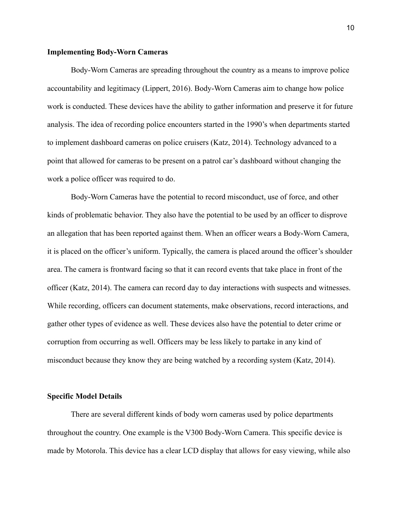#### **Implementing Body-Worn Cameras**

Body-Worn Cameras are spreading throughout the country as a means to improve police accountability and legitimacy (Lippert, 2016). Body-Worn Cameras aim to change how police work is conducted. These devices have the ability to gather information and preserve it for future analysis. The idea of recording police encounters started in the 1990's when departments started to implement dashboard cameras on police cruisers (Katz, 2014). Technology advanced to a point that allowed for cameras to be present on a patrol car's dashboard without changing the work a police officer was required to do.

Body-Worn Cameras have the potential to record misconduct, use of force, and other kinds of problematic behavior. They also have the potential to be used by an officer to disprove an allegation that has been reported against them. When an officer wears a Body-Worn Camera, it is placed on the officer's uniform. Typically, the camera is placed around the officer's shoulder area. The camera is frontward facing so that it can record events that take place in front of the officer (Katz, 2014). The camera can record day to day interactions with suspects and witnesses. While recording, officers can document statements, make observations, record interactions, and gather other types of evidence as well. These devices also have the potential to deter crime or corruption from occurring as well. Officers may be less likely to partake in any kind of misconduct because they know they are being watched by a recording system (Katz, 2014).

#### **Specific Model Details**

There are several different kinds of body worn cameras used by police departments throughout the country. One example is the V300 Body-Worn Camera. This specific device is made by Motorola. This device has a clear LCD display that allows for easy viewing, while also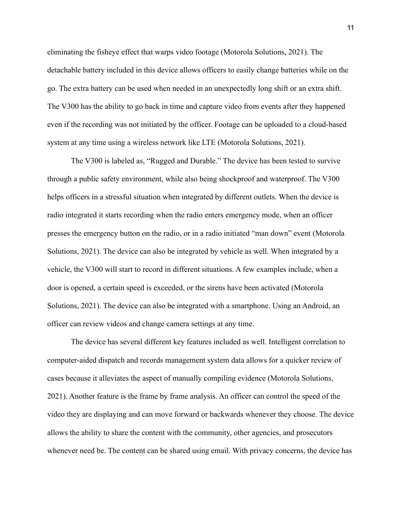eliminating the fisheye effect that warps video footage (Motorola Solutions, 2021). The detachable battery included in this device allows officers to easily change batteries while on the go. The extra battery can be used when needed in an unexpectedly long shift or an extra shift. The V300 has the ability to go back in time and capture video from events after they happened even if the recording was not initiated by the officer. Footage can be uploaded to a cloud-based system at any time using a wireless network like LTE (Motorola Solutions, 2021).

The V300 is labeled as, "Rugged and Durable." The device has been tested to survive through a public safety environment, while also being shockproof and waterproof. The V300 helps officers in a stressful situation when integrated by different outlets. When the device is radio integrated it starts recording when the radio enters emergency mode, when an officer presses the emergency button on the radio, or in a radio initiated "man down" event (Motorola Solutions, 2021). The device can also be integrated by vehicle as well. When integrated by a vehicle, the V300 will start to record in different situations. A few examples include, when a door is opened, a certain speed is exceeded, or the sirens have been activated (Motorola Solutions, 2021). The device can also be integrated with a smartphone. Using an Android, an officer can review videos and change camera settings at any time.

The device has several different key features included as well. Intelligent correlation to computer-aided dispatch and records management system data allows for a quicker review of cases because it alleviates the aspect of manually compiling evidence (Motorola Solutions, 2021). Another feature is the frame by frame analysis. An officer can control the speed of the video they are displaying and can move forward or backwards whenever they choose. The device allows the ability to share the content with the community, other agencies, and prosecutors whenever need be. The content can be shared using email. With privacy concerns, the device has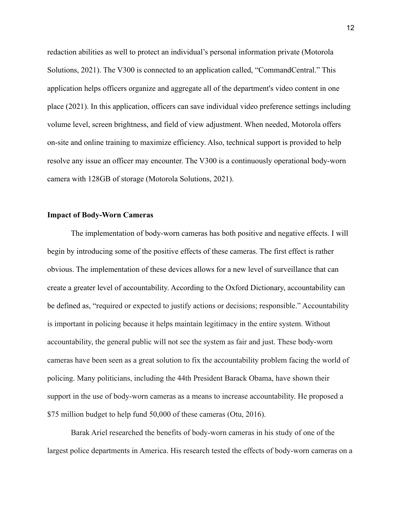redaction abilities as well to protect an individual's personal information private (Motorola Solutions, 2021). The V300 is connected to an application called, "CommandCentral." This application helps officers organize and aggregate all of the department's video content in one place (2021). In this application, officers can save individual video preference settings including volume level, screen brightness, and field of view adjustment. When needed, Motorola offers on-site and online training to maximize efficiency. Also, technical support is provided to help resolve any issue an officer may encounter. The V300 is a continuously operational body-worn camera with 128GB of storage (Motorola Solutions, 2021).

#### **Impact of Body-Worn Cameras**

The implementation of body-worn cameras has both positive and negative effects. I will begin by introducing some of the positive effects of these cameras. The first effect is rather obvious. The implementation of these devices allows for a new level of surveillance that can create a greater level of accountability. According to the Oxford Dictionary, accountability can be defined as, "required or expected to justify actions or decisions; responsible." Accountability is important in policing because it helps maintain legitimacy in the entire system. Without accountability, the general public will not see the system as fair and just. These body-worn cameras have been seen as a great solution to fix the accountability problem facing the world of policing. Many politicians, including the 44th President Barack Obama, have shown their support in the use of body-worn cameras as a means to increase accountability. He proposed a \$75 million budget to help fund 50,000 of these cameras (Otu, 2016).

Barak Ariel researched the benefits of body-worn cameras in his study of one of the largest police departments in America. His research tested the effects of body-worn cameras on a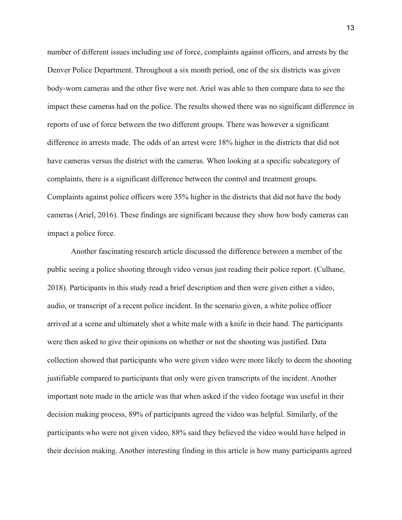number of different issues including use of force, complaints against officers, and arrests by the Denver Police Department. Throughout a six month period, one of the six districts was given body-worn cameras and the other five were not. Ariel was able to then compare data to see the impact these cameras had on the police. The results showed there was no significant difference in reports of use of force between the two different groups. There was however a significant difference in arrests made. The odds of an arrest were 18% higher in the districts that did not have cameras versus the district with the cameras. When looking at a specific subcategory of complaints, there is a significant difference between the control and treatment groups. Complaints against police officers were 35% higher in the districts that did not have the body cameras (Ariel, 2016). These findings are significant because they show how body cameras can impact a police force.

Another fascinating research article discussed the difference between a member of the public seeing a police shooting through video versus just reading their police report. (Culhane, 2018). Participants in this study read a brief description and then were given either a video, audio, or transcript of a recent police incident. In the scenario given, a white police officer arrived at a scene and ultimately shot a white male with a knife in their hand. The participants were then asked to give their opinions on whether or not the shooting was justified. Data collection showed that participants who were given video were more likely to deem the shooting justifiable compared to participants that only were given transcripts of the incident. Another important note made in the article was that when asked if the video footage was useful in their decision making process, 89% of participants agreed the video was helpful. Similarly, of the participants who were not given video, 88% said they believed the video would have helped in their decision making. Another interesting finding in this article is how many participants agreed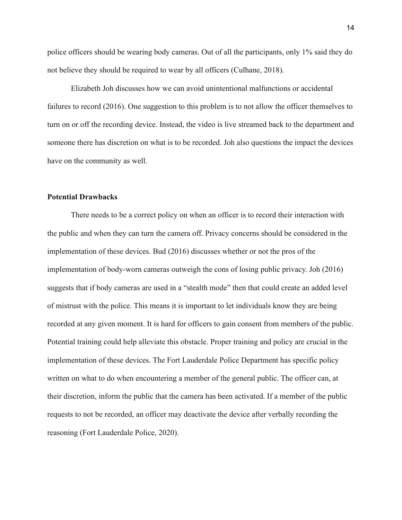police officers should be wearing body cameras. Out of all the participants, only 1% said they do not believe they should be required to wear by all officers (Culhane, 2018).

Elizabeth Joh discusses how we can avoid unintentional malfunctions or accidental failures to record (2016). One suggestion to this problem is to not allow the officer themselves to turn on or off the recording device. Instead, the video is live streamed back to the department and someone there has discretion on what is to be recorded. Joh also questions the impact the devices have on the community as well.

#### **Potential Drawbacks**

There needs to be a correct policy on when an officer is to record their interaction with the public and when they can turn the camera off. Privacy concerns should be considered in the implementation of these devices. Bud (2016) discusses whether or not the pros of the implementation of body-worn cameras outweigh the cons of losing public privacy. Joh (2016) suggests that if body cameras are used in a "stealth mode" then that could create an added level of mistrust with the police. This means it is important to let individuals know they are being recorded at any given moment. It is hard for officers to gain consent from members of the public. Potential training could help alleviate this obstacle. Proper training and policy are crucial in the implementation of these devices. The Fort Lauderdale Police Department has specific policy written on what to do when encountering a member of the general public. The officer can, at their discretion, inform the public that the camera has been activated. If a member of the public requests to not be recorded, an officer may deactivate the device after verbally recording the reasoning (Fort Lauderdale Police, 2020).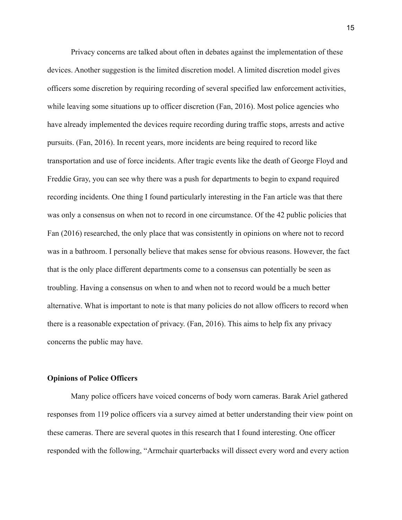Privacy concerns are talked about often in debates against the implementation of these devices. Another suggestion is the limited discretion model. A limited discretion model gives officers some discretion by requiring recording of several specified law enforcement activities, while leaving some situations up to officer discretion (Fan, 2016). Most police agencies who have already implemented the devices require recording during traffic stops, arrests and active pursuits. (Fan, 2016). In recent years, more incidents are being required to record like transportation and use of force incidents. After tragic events like the death of George Floyd and Freddie Gray, you can see why there was a push for departments to begin to expand required recording incidents. One thing I found particularly interesting in the Fan article was that there was only a consensus on when not to record in one circumstance. Of the 42 public policies that Fan (2016) researched, the only place that was consistently in opinions on where not to record was in a bathroom. I personally believe that makes sense for obvious reasons. However, the fact that is the only place different departments come to a consensus can potentially be seen as troubling. Having a consensus on when to and when not to record would be a much better alternative. What is important to note is that many policies do not allow officers to record when there is a reasonable expectation of privacy. (Fan, 2016). This aims to help fix any privacy concerns the public may have.

#### **Opinions of Police Officers**

Many police officers have voiced concerns of body worn cameras. Barak Ariel gathered responses from 119 police officers via a survey aimed at better understanding their view point on these cameras. There are several quotes in this research that I found interesting. One officer responded with the following, "Armchair quarterbacks will dissect every word and every action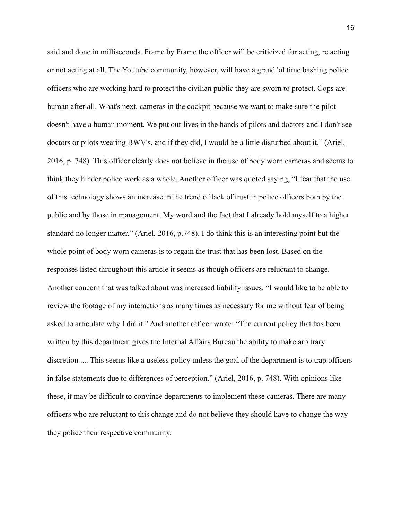said and done in milliseconds. Frame by Frame the officer will be criticized for acting, re acting or not acting at all. The Youtube community, however, will have a grand 'ol time bashing police officers who are working hard to protect the civilian public they are sworn to protect. Cops are human after all. What's next, cameras in the cockpit because we want to make sure the pilot doesn't have a human moment. We put our lives in the hands of pilots and doctors and I don't see doctors or pilots wearing BWV's, and if they did, I would be a little disturbed about it." (Ariel, 2016, p. 748). This officer clearly does not believe in the use of body worn cameras and seems to think they hinder police work as a whole. Another officer was quoted saying, "I fear that the use of this technology shows an increase in the trend of lack of trust in police officers both by the public and by those in management. My word and the fact that I already hold myself to a higher standard no longer matter." (Ariel, 2016, p.748). I do think this is an interesting point but the whole point of body worn cameras is to regain the trust that has been lost. Based on the responses listed throughout this article it seems as though officers are reluctant to change. Another concern that was talked about was increased liability issues. "I would like to be able to review the footage of my interactions as many times as necessary for me without fear of being asked to articulate why I did it." And another officer wrote: "The current policy that has been written by this department gives the Internal Affairs Bureau the ability to make arbitrary discretion .... This seems like a useless policy unless the goal of the department is to trap officers in false statements due to differences of perception." (Ariel, 2016, p. 748). With opinions like these, it may be difficult to convince departments to implement these cameras. There are many officers who are reluctant to this change and do not believe they should have to change the way they police their respective community.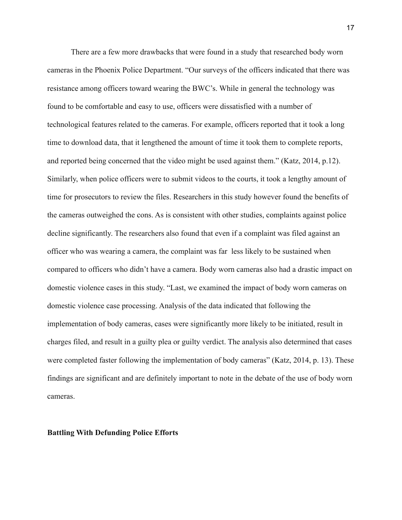There are a few more drawbacks that were found in a study that researched body worn cameras in the Phoenix Police Department. "Our surveys of the officers indicated that there was resistance among officers toward wearing the BWC's. While in general the technology was found to be comfortable and easy to use, officers were dissatisfied with a number of technological features related to the cameras. For example, officers reported that it took a long time to download data, that it lengthened the amount of time it took them to complete reports, and reported being concerned that the video might be used against them." (Katz, 2014, p.12). Similarly, when police officers were to submit videos to the courts, it took a lengthy amount of time for prosecutors to review the files. Researchers in this study however found the benefits of the cameras outweighed the cons. As is consistent with other studies, complaints against police decline significantly. The researchers also found that even if a complaint was filed against an officer who was wearing a camera, the complaint was far less likely to be sustained when compared to officers who didn't have a camera. Body worn cameras also had a drastic impact on domestic violence cases in this study. "Last, we examined the impact of body worn cameras on domestic violence case processing. Analysis of the data indicated that following the implementation of body cameras, cases were significantly more likely to be initiated, result in charges filed, and result in a guilty plea or guilty verdict. The analysis also determined that cases were completed faster following the implementation of body cameras" (Katz, 2014, p. 13). These findings are significant and are definitely important to note in the debate of the use of body worn cameras.

**Battling With Defunding Police Efforts**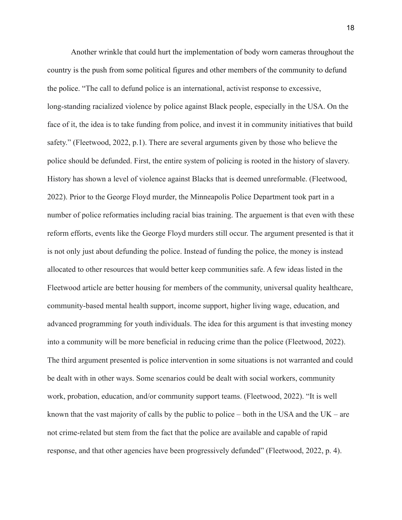Another wrinkle that could hurt the implementation of body worn cameras throughout the country is the push from some political figures and other members of the community to defund the police. "The call to defund police is an international, activist response to excessive, long-standing racialized violence by police against Black people, especially in the USA. On the face of it, the idea is to take funding from police, and invest it in community initiatives that build safety." (Fleetwood, 2022, p.1). There are several arguments given by those who believe the police should be defunded. First, the entire system of policing is rooted in the history of slavery. History has shown a level of violence against Blacks that is deemed unreformable. (Fleetwood, 2022). Prior to the George Floyd murder, the Minneapolis Police Department took part in a number of police reformaties including racial bias training. The arguement is that even with these reform efforts, events like the George Floyd murders still occur. The argument presented is that it is not only just about defunding the police. Instead of funding the police, the money is instead allocated to other resources that would better keep communities safe. A few ideas listed in the Fleetwood article are better housing for members of the community, universal quality healthcare, community-based mental health support, income support, higher living wage, education, and advanced programming for youth individuals. The idea for this argument is that investing money into a community will be more beneficial in reducing crime than the police (Fleetwood, 2022). The third argument presented is police intervention in some situations is not warranted and could be dealt with in other ways. Some scenarios could be dealt with social workers, community work, probation, education, and/or community support teams. (Fleetwood, 2022). "It is well known that the vast majority of calls by the public to police – both in the USA and the UK – are not crime-related but stem from the fact that the police are available and capable of rapid response, and that other agencies have been progressively defunded" (Fleetwood, 2022, p. 4).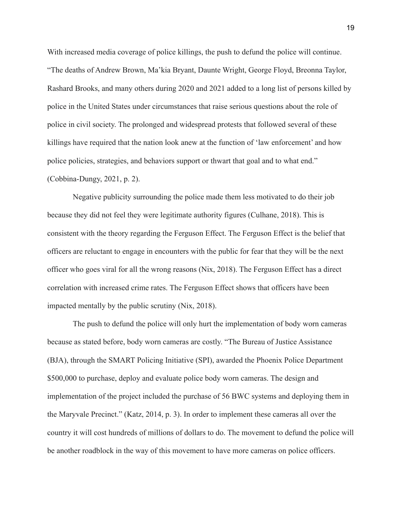With increased media coverage of police killings, the push to defund the police will continue. "The deaths of Andrew Brown, Ma'kia Bryant, Daunte Wright, George Floyd, Breonna Taylor, Rashard Brooks, and many others during 2020 and 2021 added to a long list of persons killed by police in the United States under circumstances that raise serious questions about the role of police in civil society. The prolonged and widespread protests that followed several of these killings have required that the nation look anew at the function of 'law enforcement' and how police policies, strategies, and behaviors support or thwart that goal and to what end." (Cobbina-Dungy, 2021, p. 2).

Negative publicity surrounding the police made them less motivated to do their job because they did not feel they were legitimate authority figures (Culhane, 2018). This is consistent with the theory regarding the Ferguson Effect. The Ferguson Effect is the belief that officers are reluctant to engage in encounters with the public for fear that they will be the next officer who goes viral for all the wrong reasons (Nix, 2018). The Ferguson Effect has a direct correlation with increased crime rates. The Ferguson Effect shows that officers have been impacted mentally by the public scrutiny (Nix, 2018).

The push to defund the police will only hurt the implementation of body worn cameras because as stated before, body worn cameras are costly. "The Bureau of Justice Assistance (BJA), through the SMART Policing Initiative (SPI), awarded the Phoenix Police Department \$500,000 to purchase, deploy and evaluate police body worn cameras. The design and implementation of the project included the purchase of 56 BWC systems and deploying them in the Maryvale Precinct." (Katz, 2014, p. 3). In order to implement these cameras all over the country it will cost hundreds of millions of dollars to do. The movement to defund the police will be another roadblock in the way of this movement to have more cameras on police officers.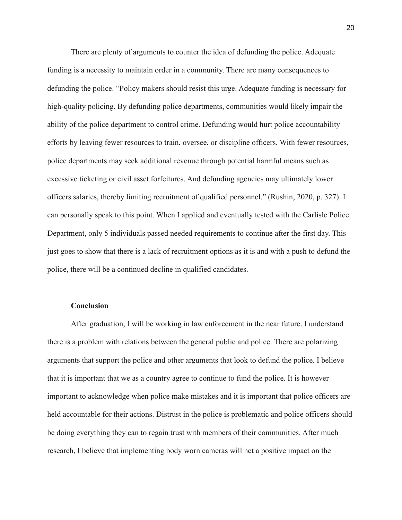There are plenty of arguments to counter the idea of defunding the police. Adequate funding is a necessity to maintain order in a community. There are many consequences to defunding the police. "Policy makers should resist this urge. Adequate funding is necessary for high-quality policing. By defunding police departments, communities would likely impair the ability of the police department to control crime. Defunding would hurt police accountability efforts by leaving fewer resources to train, oversee, or discipline officers. With fewer resources, police departments may seek additional revenue through potential harmful means such as excessive ticketing or civil asset forfeitures. And defunding agencies may ultimately lower officers salaries, thereby limiting recruitment of qualified personnel." (Rushin, 2020, p. 327). I can personally speak to this point. When I applied and eventually tested with the Carlisle Police Department, only 5 individuals passed needed requirements to continue after the first day. This just goes to show that there is a lack of recruitment options as it is and with a push to defund the police, there will be a continued decline in qualified candidates.

#### **Conclusion**

After graduation, I will be working in law enforcement in the near future. I understand there is a problem with relations between the general public and police. There are polarizing arguments that support the police and other arguments that look to defund the police. I believe that it is important that we as a country agree to continue to fund the police. It is however important to acknowledge when police make mistakes and it is important that police officers are held accountable for their actions. Distrust in the police is problematic and police officers should be doing everything they can to regain trust with members of their communities. After much research, I believe that implementing body worn cameras will net a positive impact on the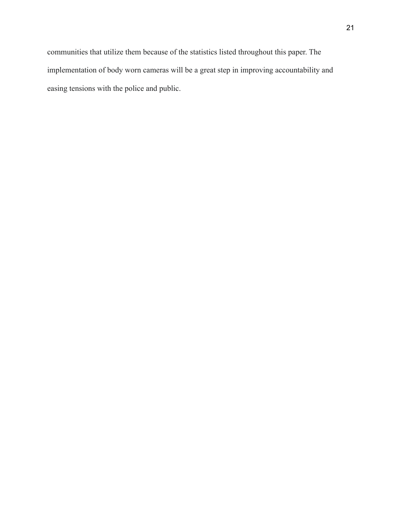communities that utilize them because of the statistics listed throughout this paper. The implementation of body worn cameras will be a great step in improving accountability and easing tensions with the police and public.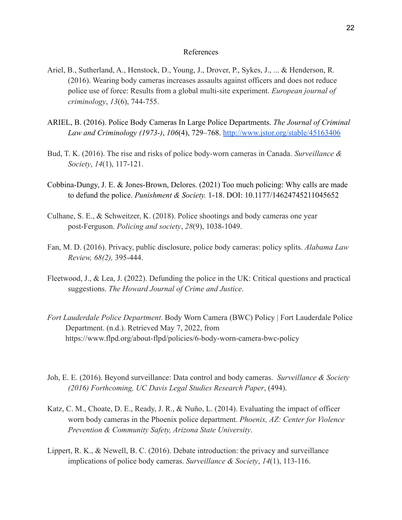#### References

- Ariel, B., Sutherland, A., Henstock, D., Young, J., Drover, P., Sykes, J., ... & Henderson, R. (2016). Wearing body cameras increases assaults against officers and does not reduce police use of force: Results from a global multi-site experiment. *European journal of criminology*, *13*(6), 744-755.
- ARIEL, B. (2016). Police Body Cameras In Large Police Departments. *The Journal of Criminal Law and Criminology (1973-)*, *106*(4), 729–768. <http://www.jstor.org/stable/45163406>
- Bud, T. K. (2016). The rise and risks of police body-worn cameras in Canada. *Surveillance & Society*, *14*(1), 117-121.
- Cobbina-Dungy, J. E. & Jones-Brown, Delores. (2021) Too much policing: Why calls are made to defund the police. *Punishment & Society.* 1-18. DOI: 10.1177/14624745211045652
- Culhane, S. E., & Schweitzer, K. (2018). Police shootings and body cameras one year post-Ferguson. *Policing and society*, *28*(9), 1038-1049.
- Fan, M. D. (2016). Privacy, public disclosure, police body cameras: policy splits. *Alabama Law Review, 68(2),* 395-444.
- Fleetwood, J., & Lea, J. (2022). Defunding the police in the UK: Critical questions and practical suggestions. *The Howard Journal of Crime and Justice*.
- *Fort Lauderdale Police Department*. Body Worn Camera (BWC) Policy | Fort Lauderdale Police Department. (n.d.). Retrieved May 7, 2022, from https://www.flpd.org/about-flpd/policies/6-body-worn-camera-bwc-policy
- Joh, E. E. (2016). Beyond surveillance: Data control and body cameras. *Surveillance & Society (2016) Forthcoming, UC Davis Legal Studies Research Paper*, (494).
- Katz, C. M., Choate, D. E., Ready, J. R., & Nuño, L. (2014). Evaluating the impact of officer worn body cameras in the Phoenix police department. *Phoenix, AZ: Center for Violence Prevention & Community Safety, Arizona State University*.
- Lippert, R. K., & Newell, B. C. (2016). Debate introduction: the privacy and surveillance implications of police body cameras. *Surveillance & Society*, *14*(1), 113-116.